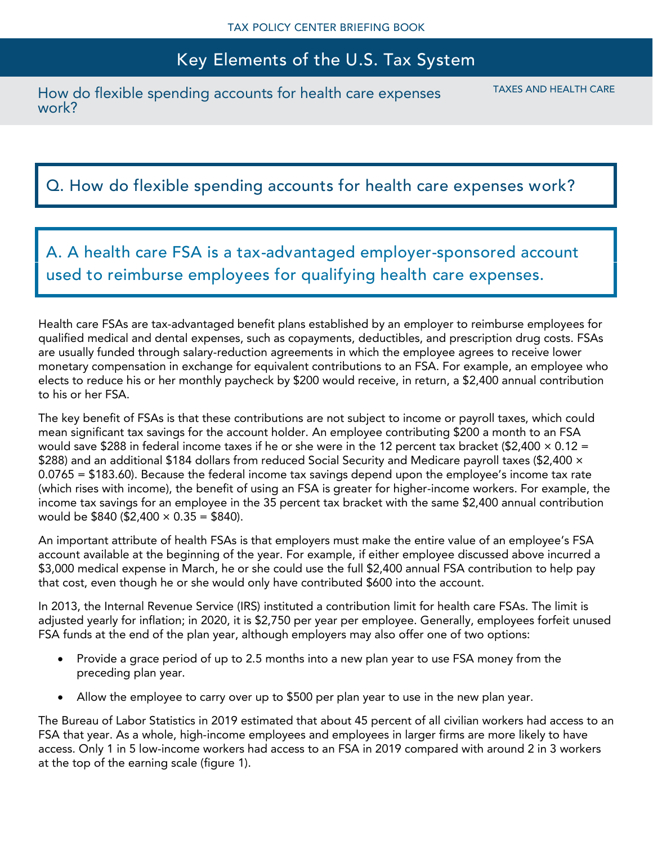How do flexible spending accounts for health care expenses work?

TAXES AND HEALTH CARE

### Q. How do flexible spending accounts for health care expenses work?

A. A health care FSA is a tax-advantaged employer-sponsored account used to reimburse employees for qualifying health care expenses.

Health care FSAs are tax-advantaged benefit plans established by an employer to reimburse employees for qualified medical and dental expenses, such as copayments, deductibles, and prescription drug costs. FSAs are usually funded through salary-reduction agreements in which the employee agrees to receive lower monetary compensation in exchange for equivalent contributions to an FSA. For example, an employee who elects to reduce his or her monthly paycheck by \$200 would receive, in return, a \$2,400 annual contribution to his or her FSA.

The key benefit of FSAs is that these contributions are not subject to income or payroll taxes, which could mean significant tax savings for the account holder. An employee contributing \$200 a month to an FSA would save \$288 in federal income taxes if he or she were in the 12 percent tax bracket (\$2,400  $\times$  0.12 = \$288) and an additional \$184 dollars from reduced Social Security and Medicare payroll taxes (\$2,400 × 0.0765 = \$183.60). Because the federal income tax savings depend upon the employee's income tax rate (which rises with income), the benefit of using an FSA is greater for higher-income workers. For example, the income tax savings for an employee in the 35 percent tax bracket with the same \$2,400 annual contribution would be  $$840 ($2,400 \times 0.35 = $840)$ .

An important attribute of health FSAs is that employers must make the entire value of an employee's FSA account available at the beginning of the year. For example, if either employee discussed above incurred a \$3,000 medical expense in March, he or she could use the full \$2,400 annual FSA contribution to help pay that cost, even though he or she would only have contributed \$600 into the account.

In 2013, the Internal Revenue Service (IRS) instituted a contribution limit for health care FSAs. The limit is adjusted yearly for inflation; in 2020, it is \$2,750 per year per employee. Generally, employees forfeit unused FSA funds at the end of the plan year, although employers may also offer one of two options:

- Provide a grace period of up to 2.5 months into a new plan year to use FSA money from the preceding plan year.
- Allow the employee to carry over up to \$500 per plan year to use in the new plan year.

The Bureau of Labor Statistics in 2019 estimated that about 45 percent of all civilian workers had access to an FSA that year. As a whole, high-income employees and employees in larger firms are more likely to have access. Only 1 in 5 low-income workers had access to an FSA in 2019 compared with around 2 in 3 workers at the top of the earning scale (figure 1).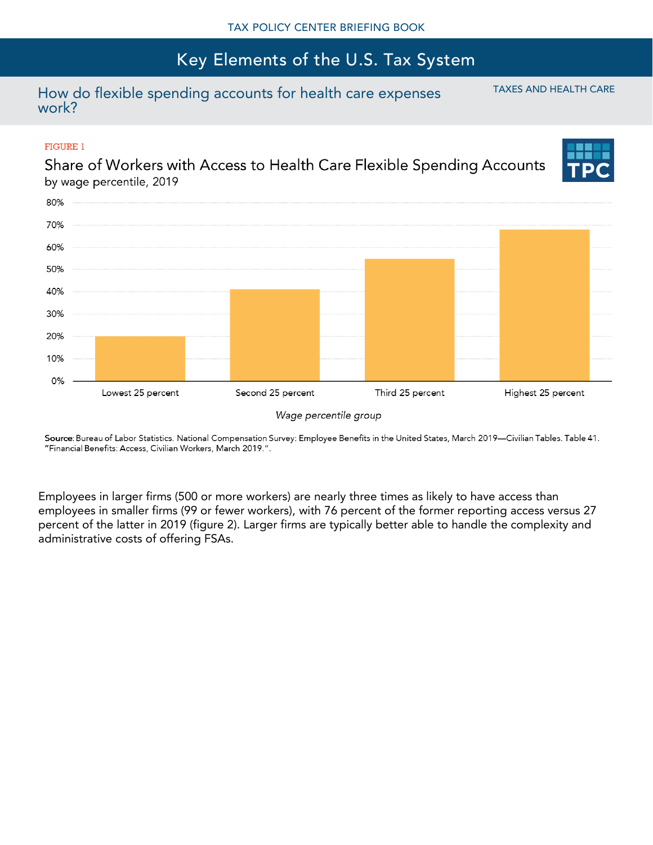### How do flexible spending accounts for health care expenses work?

### **FIGURE 1**

Share of Workers with Access to Health Care Flexible Spending Accounts by wage percentile, 2019



Wage percentile group

Source: Bureau of Labor Statistics. National Compensation Survey: Employee Benefits in the United States, March 2019—Civilian Tables. Table 41. "Financial Benefits: Access, Civilian Workers, March 2019.".

Employees in larger firms (500 or more workers) are nearly three times as likely to have access than employees in smaller firms (99 or fewer workers), with 76 percent of the former reporting access versus 27 percent of the latter in 2019 (figure 2). Larger firms are typically better able to handle the complexity and administrative costs of offering FSAs.

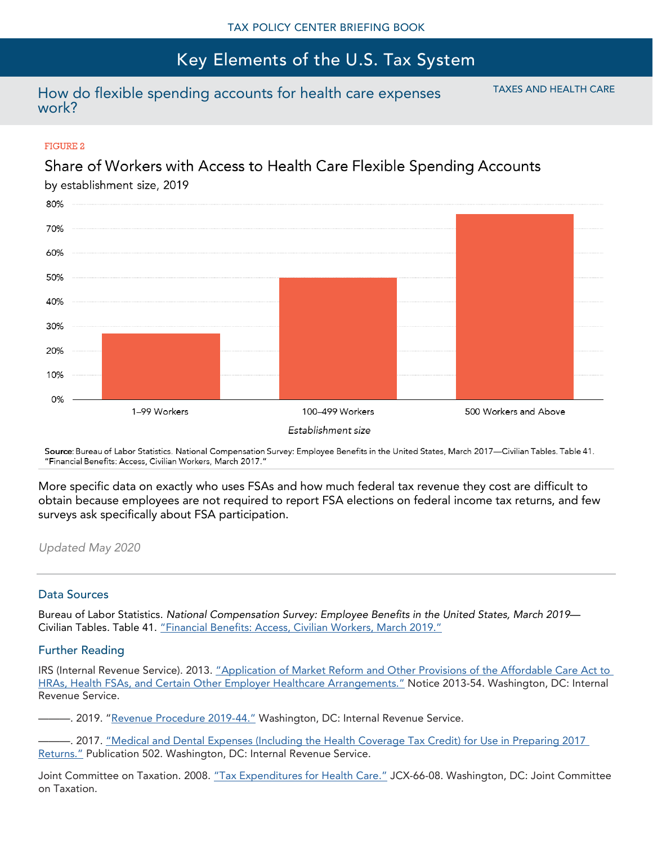### How do flexible spending accounts for health care expenses work?

TAXES AND HEALTH CARE

#### **FIGURE 2**

### Share of Workers with Access to Health Care Flexible Spending Accounts



Source: Bureau of Labor Statistics. National Compensation Survey: Employee Benefits in the United States, March 2017—Civilian Tables. Table 41. "Financial Benefits: Access, Civilian Workers, March 2017."

More specific data on exactly who uses FSAs and how much federal tax revenue they cost are difficult to obtain because employees are not required to report FSA elections on federal income tax returns, and few surveys ask specifically about FSA participation.

*Updated May 2020*

### Data Sources

Bureau of Labor Statistics. *National Compensation Survey: Employee Benefits in the United States, March 2019*— Civilian Tables*.* Table 41. ["Financial Benefits: Access, Civilian Workers, March 2019."](https://www.bls.gov/ncs/ebs/benefits/2019/employee-benefits-in-the-united-states-march-2019.pdf)

#### Further Reading

IRS (Internal Revenue Service). 2013. ["Application of Market Reform and Other Provisions of the Affordable Care Act to](https://www.irs.gov/pub/irs-drop/n-13-54.pdf)  [HRAs, Health FSAs, and Certain Other Employer Healthcare Arr](https://www.irs.gov/pub/irs-drop/n-13-54.pdf)angements." Notice 2013-54. Washington, DC: Internal Revenue Service.

———. 2019. "[Revenue Procedure 2019-](https://www.irs.gov/pub/irs-drop/rp-19-44.pdf)44." Washington, DC: Internal Revenue Service.

-. 2017. "Medical and Dental Expenses (Including the Health Coverage Tax Credit) for Use in Preparing 2017 [Returns."](https://www.irs.gov/publications/p502) Publication 502. Washington, DC: Internal Revenue Service.

Joint Committee on Taxation. 2008. ["Tax Expenditures for Health Care."](https://www.jct.gov/publications.html?func=startdown&id=1273) JCX-66-08. Washington, DC: Joint Committee on Taxation.